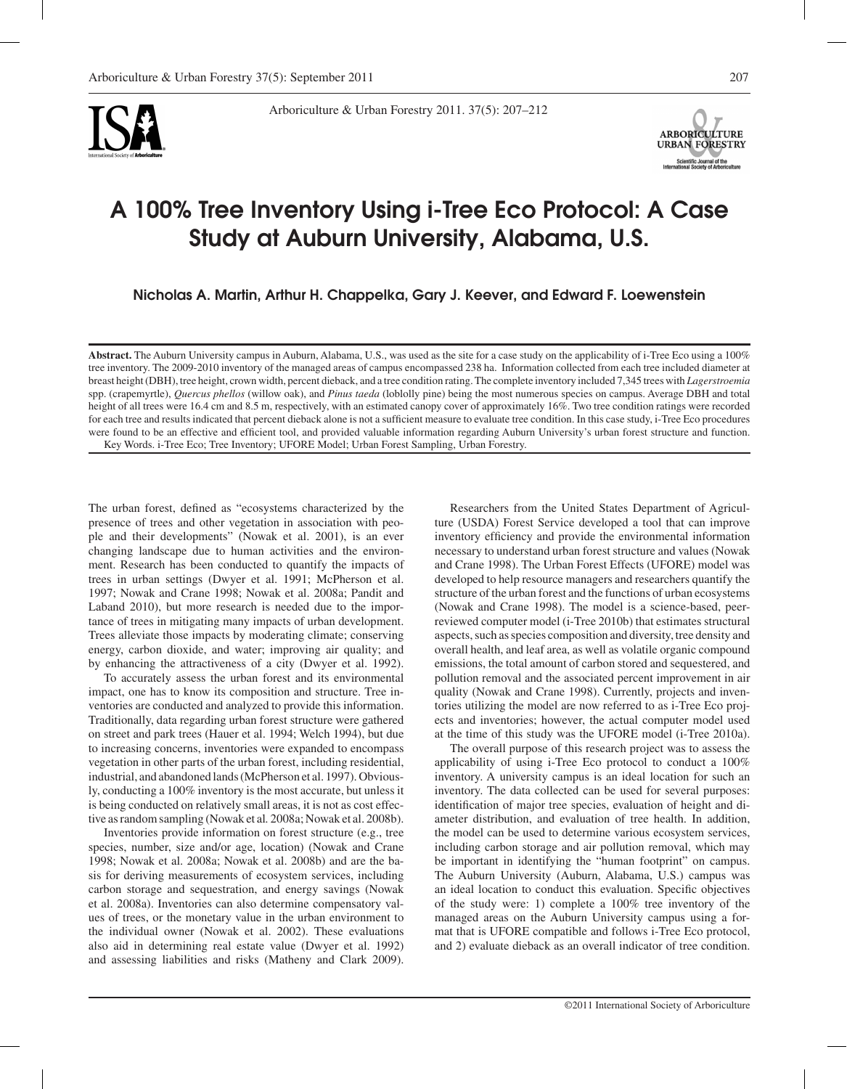

Arboriculture & Urban Forestry 2011. 37(5): 207–212



# A 100% Tree Inventory Using i-Tree Eco Protocol: A Case Study at Auburn University, Alabama, U.S.

Nicholas A. Martin, Arthur H. Chappelka, Gary J. Keever, and Edward F. Loewenstein

**Abstract.** The Auburn University campus in Auburn, Alabama, U.S., was used as the site for a case study on the applicability of i-Tree Eco using a 100% tree inventory. The 2009-2010 inventory of the managed areas of campus encompassed 238 ha. Information collected from each tree included diameter at breast height (DBH), tree height, crown width, percent dieback, and a tree condition rating. The complete inventory included 7,345 trees with *Lagerstroemia* spp. (crapemyrtle), *Quercus phellos* (willow oak), and *Pinus taeda* (loblolly pine) being the most numerous species on campus. Average DBH and total height of all trees were 16.4 cm and 8.5 m, respectively, with an estimated canopy cover of approximately 16%. Two tree condition ratings were recorded for each tree and results indicated that percent dieback alone is not a sufficient measure to evaluate tree condition. In this case study, i-Tree Eco procedures were found to be an effective and efficient tool, and provided valuable information regarding Auburn University's urban forest structure and function. Key Words. i-Tree Eco; Tree Inventory; UFORE Model; Urban Forest Sampling, Urban Forestry.

The urban forest, defined as "ecosystems characterized by the presence of trees and other vegetation in association with people and their developments" (Nowak et al. 2001), is an ever changing landscape due to human activities and the environment. Research has been conducted to quantify the impacts of trees in urban settings (Dwyer et al. 1991; McPherson et al. 1997; Nowak and Crane 1998; Nowak et al. 2008a; Pandit and Laband 2010), but more research is needed due to the importance of trees in mitigating many impacts of urban development. Trees alleviate those impacts by moderating climate; conserving energy, carbon dioxide, and water; improving air quality; and by enhancing the attractiveness of a city (Dwyer et al. 1992).

To accurately assess the urban forest and its environmental impact, one has to know its composition and structure. Tree inventories are conducted and analyzed to provide this information. Traditionally, data regarding urban forest structure were gathered on street and park trees (Hauer et al. 1994; Welch 1994), but due to increasing concerns, inventories were expanded to encompass vegetation in other parts of the urban forest, including residential, industrial, and abandoned lands (McPherson et al. 1997). Obviously, conducting a 100% inventory is the most accurate, but unless it is being conducted on relatively small areas, it is not as cost effective as random sampling (Nowak et al*.* 2008a; Nowak et al. 2008b).

Inventories provide information on forest structure (e.g., tree species, number, size and/or age, location) (Nowak and Crane 1998; Nowak et al. 2008a; Nowak et al. 2008b) and are the basis for deriving measurements of ecosystem services, including carbon storage and sequestration, and energy savings (Nowak et al. 2008a). Inventories can also determine compensatory values of trees, or the monetary value in the urban environment to the individual owner (Nowak et al. 2002). These evaluations also aid in determining real estate value (Dwyer et al. 1992) and assessing liabilities and risks (Matheny and Clark 2009).

Researchers from the United States Department of Agriculture (USDA) Forest Service developed a tool that can improve inventory efficiency and provide the environmental information necessary to understand urban forest structure and values (Nowak and Crane 1998). The Urban Forest Effects (UFORE) model was developed to help resource managers and researchers quantify the structure of the urban forest and the functions of urban ecosystems (Nowak and Crane 1998). The model is a science-based, peerreviewed computer model (i-Tree 2010b) that estimates structural aspects, such as species composition and diversity, tree density and overall health, and leaf area, as well as volatile organic compound emissions, the total amount of carbon stored and sequestered, and pollution removal and the associated percent improvement in air quality (Nowak and Crane 1998). Currently, projects and inventories utilizing the model are now referred to as i-Tree Eco projects and inventories; however, the actual computer model used at the time of this study was the UFORE model (i-Tree 2010a).

The overall purpose of this research project was to assess the applicability of using i-Tree Eco protocol to conduct a 100% inventory. A university campus is an ideal location for such an inventory. The data collected can be used for several purposes: identification of major tree species, evaluation of height and diameter distribution, and evaluation of tree health. In addition, the model can be used to determine various ecosystem services, including carbon storage and air pollution removal, which may be important in identifying the "human footprint" on campus. The Auburn University (Auburn, Alabama, U.S.) campus was an ideal location to conduct this evaluation. Specific objectives of the study were: 1) complete a 100% tree inventory of the managed areas on the Auburn University campus using a format that is UFORE compatible and follows i-Tree Eco protocol, and 2) evaluate dieback as an overall indicator of tree condition.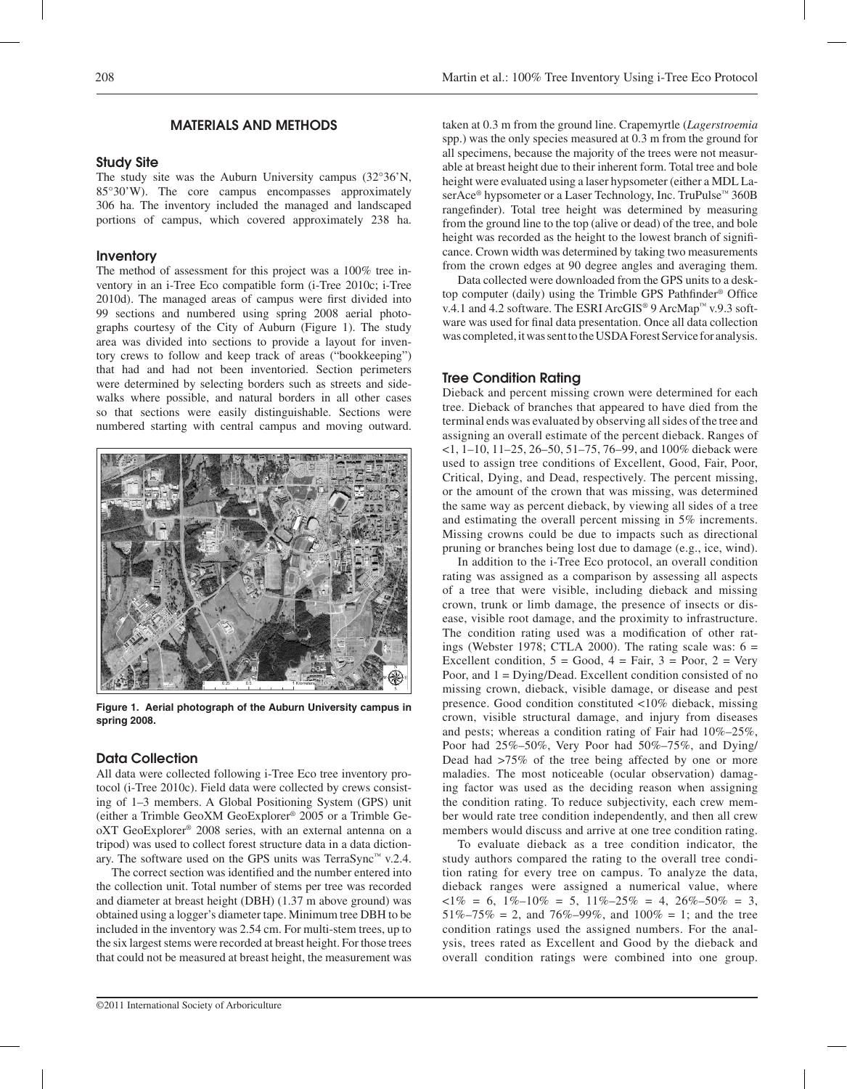# MATERIALS AND METHODS

#### Study Site

The study site was the Auburn University campus (32°36'N, 85°30'W). The core campus encompasses approximately 306 ha. The inventory included the managed and landscaped portions of campus, which covered approximately 238 ha.

### Inventory

The method of assessment for this project was a 100% tree inventory in an i-Tree Eco compatible form (i-Tree 2010c; i-Tree 2010d). The managed areas of campus were first divided into 99 sections and numbered using spring 2008 aerial photographs courtesy of the City of Auburn (Figure 1). The study area was divided into sections to provide a layout for inventory crews to follow and keep track of areas ("bookkeeping") that had and had not been inventoried. Section perimeters were determined by selecting borders such as streets and sidewalks where possible, and natural borders in all other cases so that sections were easily distinguishable. Sections were numbered starting with central campus and moving outward.



**Figure 1. Aerial photograph of the Auburn University campus in spring 2008.**

## Data Collection

All data were collected following i-Tree Eco tree inventory protocol (i-Tree 2010c). Field data were collected by crews consisting of 1–3 members. A Global Positioning System (GPS) unit (either a Trimble GeoXM GeoExplorer® 2005 or a Trimble GeoXT GeoExplorer® 2008 series, with an external antenna on a tripod) was used to collect forest structure data in a data dictionary. The software used on the GPS units was TerraSync™ v.2.4.

The correct section was identified and the number entered into the collection unit. Total number of stems per tree was recorded and diameter at breast height (DBH) (1.37 m above ground) was obtained using a logger's diameter tape. Minimum tree DBH to be included in the inventory was 2.54 cm. For multi-stem trees, up to the six largest stems were recorded at breast height. For those trees that could not be measured at breast height, the measurement was

taken at 0.3 m from the ground line. Crapemyrtle (*Lagerstroemia*  spp.) was the only species measured at 0.3 m from the ground for all specimens, because the majority of the trees were not measurable at breast height due to their inherent form. Total tree and bole height were evaluated using a laser hypsometer (either a MDL LaserAce<sup>®</sup> hypsometer or a Laser Technology, Inc. TruPulse™ 360B rangefinder). Total tree height was determined by measuring from the ground line to the top (alive or dead) of the tree, and bole height was recorded as the height to the lowest branch of significance. Crown width was determined by taking two measurements from the crown edges at 90 degree angles and averaging them.

Data collected were downloaded from the GPS units to a desktop computer (daily) using the Trimble GPS Pathfinder® Office v.4.1 and 4.2 software. The ESRI ArcGIS® 9 ArcMap™ v.9.3 software was used for final data presentation. Once all data collection was completed, it was sent to the USDA Forest Service for analysis.

## Tree Condition Rating

Dieback and percent missing crown were determined for each tree. Dieback of branches that appeared to have died from the terminal ends was evaluated by observing all sides of the tree and assigning an overall estimate of the percent dieback. Ranges of <1, 1–10, 11–25, 26–50, 51–75, 76–99, and 100% dieback were used to assign tree conditions of Excellent, Good, Fair, Poor, Critical, Dying, and Dead, respectively. The percent missing, or the amount of the crown that was missing, was determined the same way as percent dieback, by viewing all sides of a tree and estimating the overall percent missing in 5% increments. Missing crowns could be due to impacts such as directional pruning or branches being lost due to damage (e.g., ice, wind).

In addition to the i-Tree Eco protocol, an overall condition rating was assigned as a comparison by assessing all aspects of a tree that were visible, including dieback and missing crown, trunk or limb damage, the presence of insects or disease, visible root damage, and the proximity to infrastructure. The condition rating used was a modification of other ratings (Webster 1978; CTLA 2000). The rating scale was:  $6 =$ Excellent condition,  $5 = Good$ ,  $4 = Fair$ ,  $3 = Poor$ ,  $2 = Very$ Poor, and 1 = Dying/Dead. Excellent condition consisted of no missing crown, dieback, visible damage, or disease and pest presence. Good condition constituted <10% dieback, missing crown, visible structural damage, and injury from diseases and pests; whereas a condition rating of Fair had 10%–25%, Poor had 25%–50%, Very Poor had 50%–75%, and Dying/ Dead had >75% of the tree being affected by one or more maladies. The most noticeable (ocular observation) damaging factor was used as the deciding reason when assigning the condition rating. To reduce subjectivity, each crew member would rate tree condition independently, and then all crew members would discuss and arrive at one tree condition rating.

To evaluate dieback as a tree condition indicator, the study authors compared the rating to the overall tree condition rating for every tree on campus. To analyze the data, dieback ranges were assigned a numerical value, where  $\langle 1\% = 6, 1\% - 10\% = 5, 11\% - 25\% = 4, 26\% - 50\% = 3,$  $51\% - 75\% = 2$ , and  $76\% - 99\%$ , and  $100\% = 1$ ; and the tree condition ratings used the assigned numbers. For the analysis, trees rated as Excellent and Good by the dieback and overall condition ratings were combined into one group.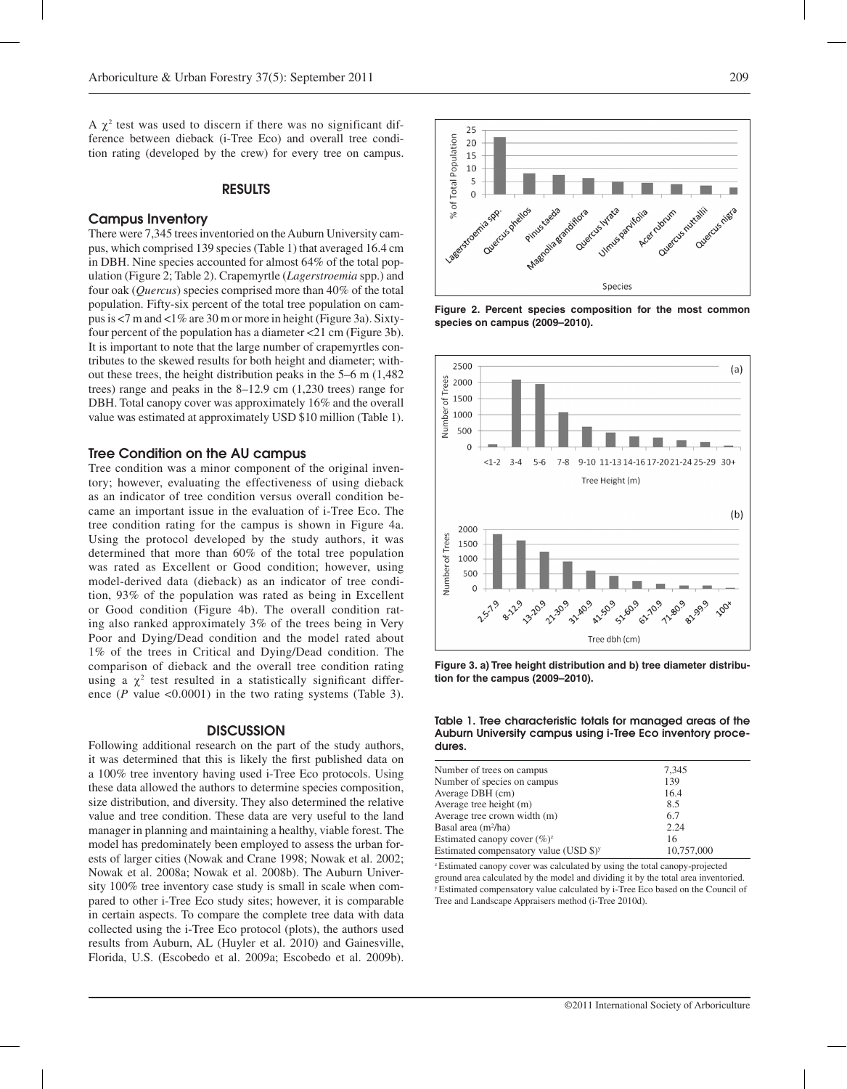A  $\chi^2$  test was used to discern if there was no significant difference between dieback (i-Tree Eco) and overall tree condition rating (developed by the crew) for every tree on campus.

### RESULTS

#### Campus Inventory

There were 7,345 trees inventoried on the Auburn University campus, which comprised 139 species (Table 1) that averaged 16.4 cm in DBH. Nine species accounted for almost 64% of the total population (Figure 2; Table 2). Crapemyrtle (*Lagerstroemia* spp.) and four oak (*Quercus*) species comprised more than 40% of the total population. Fifty-six percent of the total tree population on campus is <7 m and <1% are 30 m or more in height (Figure 3a). Sixtyfour percent of the population has a diameter <21 cm (Figure 3b). It is important to note that the large number of crapemyrtles contributes to the skewed results for both height and diameter; without these trees, the height distribution peaks in the 5–6 m (1,482 trees) range and peaks in the 8–12.9 cm (1,230 trees) range for DBH. Total canopy cover was approximately 16% and the overall value was estimated at approximately USD \$10 million (Table 1).

## Tree Condition on the AU campus

Tree condition was a minor component of the original inventory; however, evaluating the effectiveness of using dieback as an indicator of tree condition versus overall condition became an important issue in the evaluation of i-Tree Eco. The tree condition rating for the campus is shown in Figure 4a. Using the protocol developed by the study authors, it was determined that more than 60% of the total tree population was rated as Excellent or Good condition; however, using model-derived data (dieback) as an indicator of tree condition, 93% of the population was rated as being in Excellent or Good condition (Figure 4b). The overall condition rating also ranked approximately 3% of the trees being in Very Poor and Dying/Dead condition and the model rated about 1% of the trees in Critical and Dying/Dead condition. The comparison of dieback and the overall tree condition rating using a  $\chi^2$  test resulted in a statistically significant difference (*P* value <0.0001) in the two rating systems (Table 3).

#### **DISCUSSION**

Following additional research on the part of the study authors, it was determined that this is likely the first published data on a 100% tree inventory having used i-Tree Eco protocols. Using these data allowed the authors to determine species composition, size distribution, and diversity. They also determined the relative value and tree condition. These data are very useful to the land manager in planning and maintaining a healthy, viable forest. The model has predominately been employed to assess the urban forests of larger cities (Nowak and Crane 1998; Nowak et al. 2002; Nowak et al. 2008a; Nowak et al. 2008b). The Auburn University 100% tree inventory case study is small in scale when compared to other i-Tree Eco study sites; however, it is comparable in certain aspects. To compare the complete tree data with data collected using the i-Tree Eco protocol (plots), the authors used results from Auburn, AL (Huyler et al. 2010) and Gainesville, Florida, U.S. (Escobedo et al. 2009a; Escobedo et al. 2009b).



**Figure 2. Percent species composition for the most common species on campus (2009–2010).**



**Figure 3. a) Tree height distribution and b) tree diameter distribution for the campus (2009–2010).**

Table 1. Tree characteristic totals for managed areas of the Auburn University campus using i-Tree Eco inventory procedures.

| Number of trees on campus                          | 7,345      |
|----------------------------------------------------|------------|
| Number of species on campus                        | 139        |
| Average DBH (cm)                                   | 16.4       |
| Average tree height (m)                            | 8.5        |
| Average tree crown width (m)                       | 6.7        |
| Basal area $(m^2/ha)$                              | 2.24       |
| Estimated canopy cover $(\%)^{z}$                  | 16         |
| Estimated compensatory value (USD \$) <sup>y</sup> | 10,757,000 |

<sup>2</sup> Estimated canopy cover was calculated by using the total canopy-projected ground area calculated by the model and dividing it by the total area inventoried. y Estimated compensatory value calculated by i-Tree Eco based on the Council of Tree and Landscape Appraisers method (i-Tree 2010d).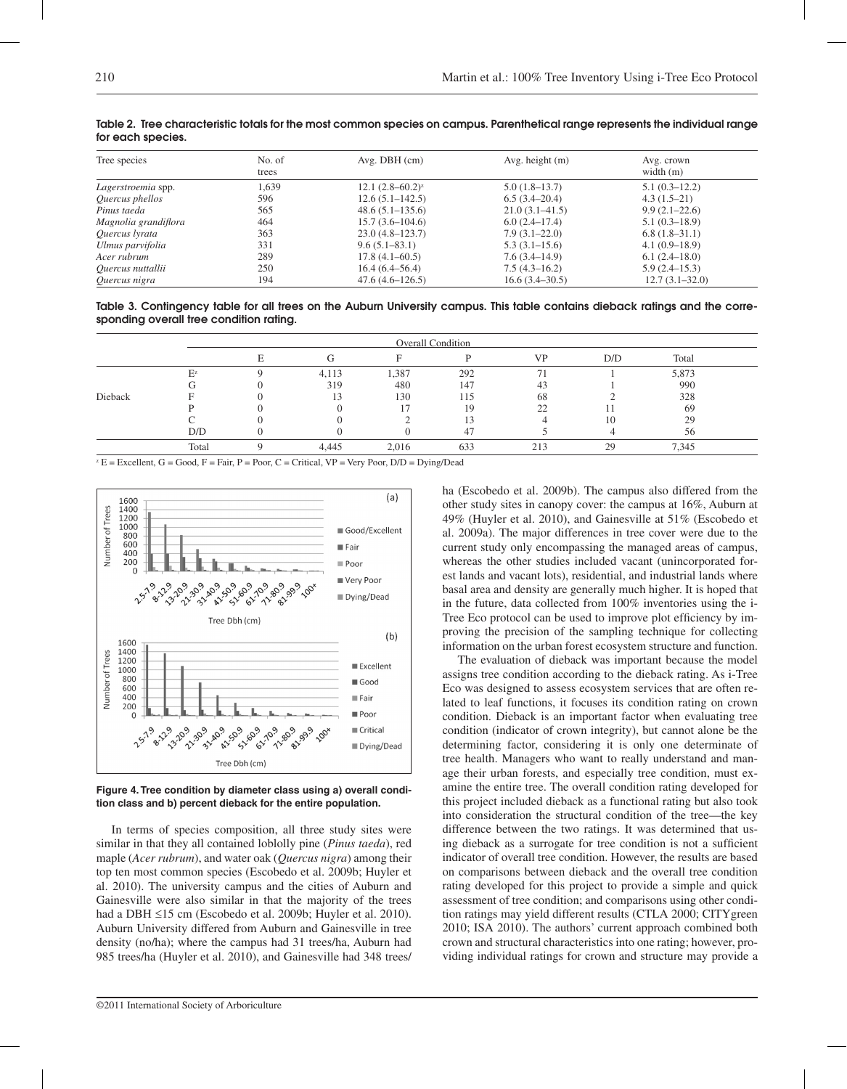| Tree species         | No. of<br>trees | Avg. DBH(cm)            | Avg. height $(m)$  | Avg. crown<br>width $(m)$ |
|----------------------|-----------------|-------------------------|--------------------|---------------------------|
| Lagerstroemia spp.   | 1.639           | $12.1 (2.8 - 60.2)^{z}$ | $5.0(1.8-13.7)$    | $5.1(0.3-12.2)$           |
| Quercus phellos      | 596             | $12.6(5.1 - 142.5)$     | 6.5(3.4–20.4)      | $4.3(1.5-21)$             |
| Pinus taeda          | 565             | $48.6(5.1 - 135.6)$     | $21.0(3.1 - 41.5)$ | $9.9(2.1-22.6)$           |
| Magnolia grandiflora | 464             | $15.7(3.6-104.6)$       | $6.0(2.4-17.4)$    | $5.1(0.3-18.9)$           |
| Quercus lyrata       | 363             | $23.0(4.8-123.7)$       | $7.9(3.1-22.0)$    | $6.8(1.8-31.1)$           |
| Ulmus parvifolia     | 331             | $9.6(5.1 - 83.1)$       | $5.3(3.1-15.6)$    | $4.1(0.9-18.9)$           |
| Acer rubrum          | 289             | $17.8(4.1 - 60.5)$      | 7.6(3.4–14.9)      | 6.1(2.4–18.0)             |
| Quercus nuttallii    | 250             | $16.4(6.4 - 56.4)$      | $7.5(4.3-16.2)$    | $5.9(2.4-15.3)$           |
| Quercus nigra        | 194             | $47.6(4.6 - 126.5)$     | $16.6(3.4 - 30.5)$ | $12.7(3.1 - 32.0)$        |

Table 2. Tree characteristic totals for the most common species on campus. Parenthetical range represents the individual range for each species.

Table 3. Contingency table for all trees on the Auburn University campus. This table contains dieback ratings and the corresponding overall tree condition rating.

|         | <b>Overall Condition</b> |  |       |          |     |           |     |       |  |
|---------|--------------------------|--|-------|----------|-----|-----------|-----|-------|--|
|         |                          |  |       | $\Gamma$ |     | <b>VP</b> | D/D | Total |  |
|         | $E^{z}$                  |  | 4,113 | 1,387    | 292 | 71        |     | 5,873 |  |
|         |                          |  | 319   | 480      | 147 | 43        |     | 990   |  |
| Dieback |                          |  |       | 130      | 115 | 68        |     | 328   |  |
|         |                          |  |       |          | 19  | 22        |     | -69   |  |
|         |                          |  |       |          |     |           | 10  | 29    |  |
|         | D/D                      |  |       |          |     |           |     | 56    |  |
|         | Total                    |  | 4.445 | 2.016    | 633 | 213       | 29  | 7,345 |  |

 $Z^2 E =$  Excellent, G = Good, F = Fair, P = Poor, C = Critical, VP = Very Poor, D/D = Dying/Dead



**Figure 4. Tree condition by diameter class using a) overall condition class and b) percent dieback for the entire population.**

In terms of species composition, all three study sites were similar in that they all contained loblolly pine (*Pinus taeda*), red maple (*Acer rubrum*), and water oak (*Quercus nigra*) among their top ten most common species (Escobedo et al. 2009b; Huyler et al. 2010). The university campus and the cities of Auburn and Gainesville were also similar in that the majority of the trees had a DBH ≤15 cm (Escobedo et al. 2009b; Huyler et al. 2010). Auburn University differed from Auburn and Gainesville in tree density (no/ha); where the campus had 31 trees/ha, Auburn had 985 trees/ha (Huyler et al. 2010), and Gainesville had 348 trees/ ha (Escobedo et al. 2009b). The campus also differed from the other study sites in canopy cover: the campus at 16%, Auburn at 49% (Huyler et al. 2010), and Gainesville at 51% (Escobedo et al. 2009a). The major differences in tree cover were due to the current study only encompassing the managed areas of campus, whereas the other studies included vacant (unincorporated forest lands and vacant lots), residential, and industrial lands where basal area and density are generally much higher. It is hoped that in the future, data collected from 100% inventories using the i-Tree Eco protocol can be used to improve plot efficiency by improving the precision of the sampling technique for collecting information on the urban forest ecosystem structure and function.

The evaluation of dieback was important because the model assigns tree condition according to the dieback rating. As i-Tree Eco was designed to assess ecosystem services that are often related to leaf functions, it focuses its condition rating on crown condition. Dieback is an important factor when evaluating tree condition (indicator of crown integrity), but cannot alone be the determining factor, considering it is only one determinate of tree health. Managers who want to really understand and manage their urban forests, and especially tree condition, must examine the entire tree. The overall condition rating developed for this project included dieback as a functional rating but also took into consideration the structural condition of the tree—the key difference between the two ratings. It was determined that using dieback as a surrogate for tree condition is not a sufficient indicator of overall tree condition. However, the results are based on comparisons between dieback and the overall tree condition rating developed for this project to provide a simple and quick assessment of tree condition; and comparisons using other condition ratings may yield different results (CTLA 2000; CITYgreen 2010; ISA 2010). The authors' current approach combined both crown and structural characteristics into one rating; however, providing individual ratings for crown and structure may provide a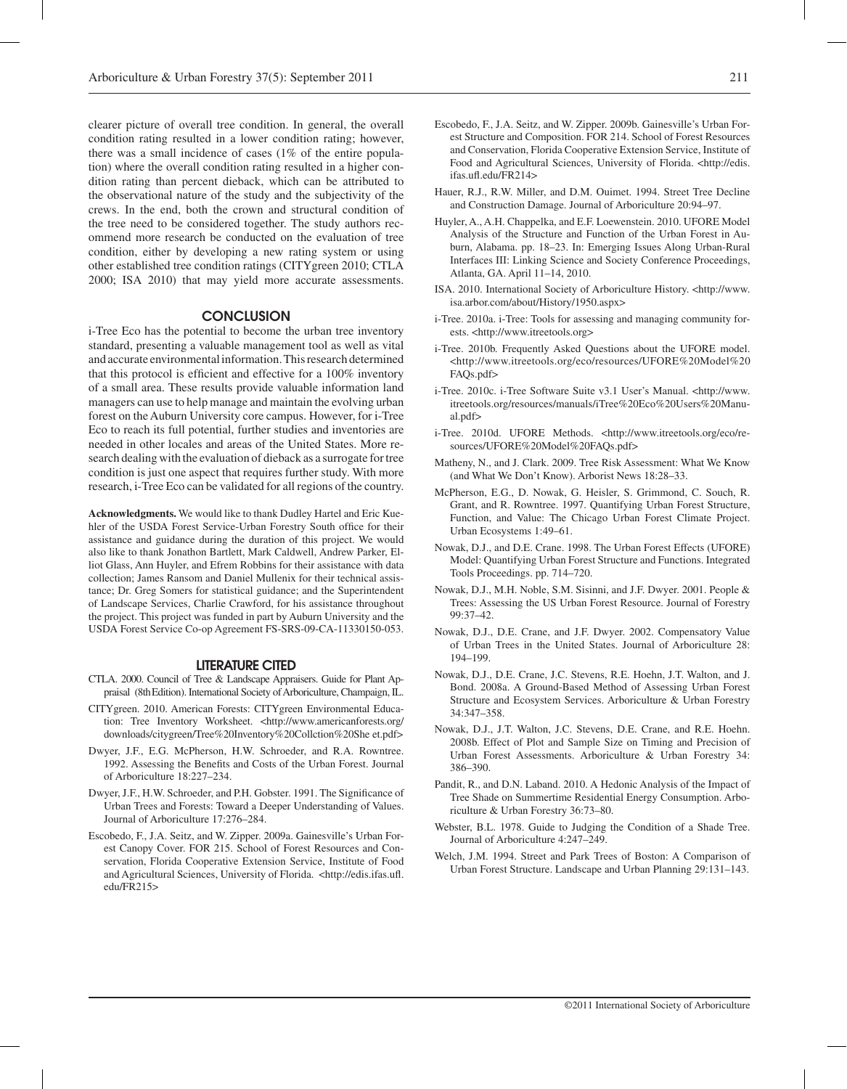clearer picture of overall tree condition. In general, the overall condition rating resulted in a lower condition rating; however, there was a small incidence of cases (1% of the entire population) where the overall condition rating resulted in a higher condition rating than percent dieback, which can be attributed to the observational nature of the study and the subjectivity of the crews. In the end, both the crown and structural condition of the tree need to be considered together. The study authors recommend more research be conducted on the evaluation of tree condition, either by developing a new rating system or using other established tree condition ratings (CITYgreen 2010; CTLA 2000; ISA 2010) that may yield more accurate assessments.

## **CONCLUSION**

i-Tree Eco has the potential to become the urban tree inventory standard, presenting a valuable management tool as well as vital and accurate environmental information. This research determined that this protocol is efficient and effective for a 100% inventory of a small area. These results provide valuable information land managers can use to help manage and maintain the evolving urban forest on the Auburn University core campus. However, for i-Tree Eco to reach its full potential, further studies and inventories are needed in other locales and areas of the United States. More research dealing with the evaluation of dieback as a surrogate for tree condition is just one aspect that requires further study. With more research, i-Tree Eco can be validated for all regions of the country.

**Acknowledgments.** We would like to thank Dudley Hartel and Eric Kuehler of the USDA Forest Service-Urban Forestry South office for their assistance and guidance during the duration of this project. We would also like to thank Jonathon Bartlett, Mark Caldwell, Andrew Parker, Elliot Glass, Ann Huyler, and Efrem Robbins for their assistance with data collection; James Ransom and Daniel Mullenix for their technical assistance; Dr. Greg Somers for statistical guidance; and the Superintendent of Landscape Services, Charlie Crawford, for his assistance throughout the project. This project was funded in part by Auburn University and the USDA Forest Service Co-op Agreement FS-SRS-09-CA-11330150-053.

## LITERATURE CITED

- CTLA. 2000. Council of Tree & Landscape Appraisers. Guide for Plant Appraisal (8thEdition). International Society of Arboriculture, Champaign, IL.
- CITYgreen. 2010. American Forests: CITYgreen Environmental Education: Tree Inventory Worksheet. <http://www.americanforests.org/ downloads/citygreen/Tree%20Inventory%20Collction%20She et.pdf>
- Dwyer, J.F., E.G. McPherson, H.W. Schroeder, and R.A. Rowntree. 1992. Assessing the Benefits and Costs of the Urban Forest. Journal of Arboriculture 18:227–234.
- Dwyer, J.F., H.W. Schroeder, and P.H. Gobster. 1991. The Significance of Urban Trees and Forests: Toward a Deeper Understanding of Values. Journal of Arboriculture 17:276–284.
- Escobedo, F., J.A. Seitz, and W. Zipper. 2009a. Gainesville's Urban Forest Canopy Cover. FOR 215. School of Forest Resources and Conservation, Florida Cooperative Extension Service, Institute of Food and Agricultural Sciences, University of Florida. <http://edis.ifas.ufl. edu/FR215>
- Escobedo, F., J.A. Seitz, and W. Zipper. 2009b. Gainesville's Urban Forest Structure and Composition. FOR 214. School of Forest Resources and Conservation, Florida Cooperative Extension Service, Institute of Food and Agricultural Sciences, University of Florida. <http://edis. ifas.ufl.edu/FR214>
- Hauer, R.J., R.W. Miller, and D.M. Ouimet. 1994. Street Tree Decline and Construction Damage. Journal of Arboriculture 20:94–97.
- Huyler, A., A.H. Chappelka, and E.F. Loewenstein. 2010. UFORE Model Analysis of the Structure and Function of the Urban Forest in Auburn, Alabama. pp. 18–23. In: Emerging Issues Along Urban-Rural Interfaces III: Linking Science and Society Conference Proceedings, Atlanta, GA. April 11–14, 2010.
- ISA. 2010. International Society of Arboriculture History. <http://www. isa.arbor.com/about/History/1950.aspx>
- i-Tree. 2010a. i-Tree: Tools for assessing and managing community forests. <http://www.itreetools.org>
- i-Tree. 2010b. Frequently Asked Questions about the UFORE model. <http://www.itreetools.org/eco/resources/UFORE%20Model%20 FAQs.pdf>
- i-Tree. 2010c. i-Tree Software Suite v3.1 User's Manual. <http://www. itreetools.org/resources/manuals/iTree%20Eco%20Users%20Manual.pdf>
- i-Tree. 2010d. UFORE Methods. <http://www.itreetools.org/eco/resources/UFORE%20Model%20FAQs.pdf>
- Matheny, N., and J. Clark. 2009. Tree Risk Assessment: What We Know (and What We Don't Know). Arborist News 18:28–33.
- McPherson, E.G., D. Nowak, G. Heisler, S. Grimmond, C. Souch, R. Grant, and R. Rowntree. 1997. Quantifying Urban Forest Structure, Function, and Value: The Chicago Urban Forest Climate Project. Urban Ecosystems 1:49–61.
- Nowak, D.J., and D.E. Crane. 1998. The Urban Forest Effects (UFORE) Model: Quantifying Urban Forest Structure and Functions. Integrated Tools Proceedings. pp. 714–720.
- Nowak, D.J., M.H. Noble, S.M. Sisinni, and J.F. Dwyer. 2001. People & Trees: Assessing the US Urban Forest Resource. Journal of Forestry 99:37–42.
- Nowak, D.J., D.E. Crane, and J.F. Dwyer. 2002. Compensatory Value of Urban Trees in the United States. Journal of Arboriculture 28: 194–199.
- Nowak, D.J., D.E. Crane, J.C. Stevens, R.E. Hoehn, J.T. Walton, and J. Bond. 2008a. A Ground-Based Method of Assessing Urban Forest Structure and Ecosystem Services. Arboriculture & Urban Forestry 34:347–358.
- Nowak, D.J., J.T. Walton, J.C. Stevens, D.E. Crane, and R.E. Hoehn. 2008b. Effect of Plot and Sample Size on Timing and Precision of Urban Forest Assessments. Arboriculture & Urban Forestry 34: 386–390.
- Pandit, R., and D.N. Laband. 2010. A Hedonic Analysis of the Impact of Tree Shade on Summertime Residential Energy Consumption. Arboriculture & Urban Forestry 36:73–80.
- Webster, B.L. 1978. Guide to Judging the Condition of a Shade Tree. Journal of Arboriculture 4:247–249.
- Welch, J.M. 1994. Street and Park Trees of Boston: A Comparison of Urban Forest Structure. Landscape and Urban Planning 29:131–143.